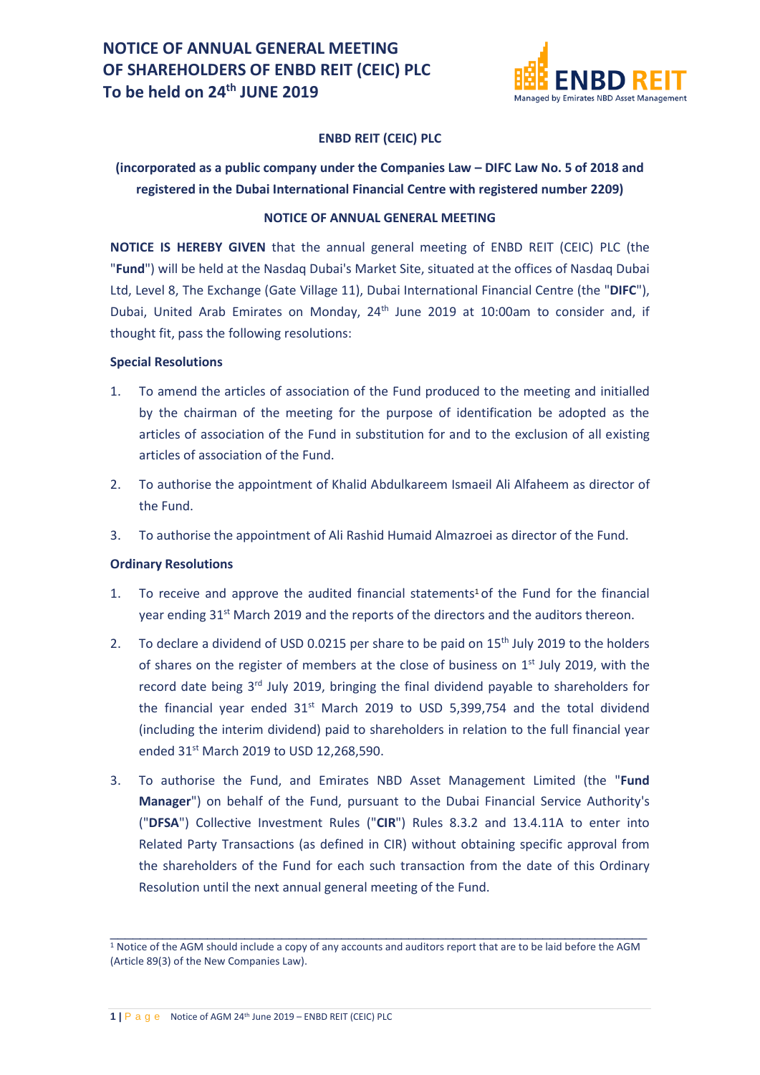

#### **ENBD REIT (CEIC) PLC**

### **(incorporated as a public company under the Companies Law – DIFC Law No. 5 of 2018 and registered in the Dubai International Financial Centre with registered number 2209)**

#### **NOTICE OF ANNUAL GENERAL MEETING**

**NOTICE IS HEREBY GIVEN** that the annual general meeting of ENBD REIT (CEIC) PLC (the "**Fund**") will be held at the Nasdaq Dubai's Market Site, situated at the offices of Nasdaq Dubai Ltd, Level 8, The Exchange (Gate Village 11), Dubai International Financial Centre (the "**DIFC**"), Dubai, United Arab Emirates on Monday, 24<sup>th</sup> June 2019 at 10:00am to consider and, if thought fit, pass the following resolutions:

#### **Special Resolutions**

- 1. To amend the articles of association of the Fund produced to the meeting and initialled by the chairman of the meeting for the purpose of identification be adopted as the articles of association of the Fund in substitution for and to the exclusion of all existing articles of association of the Fund.
- 2. To authorise the appointment of Khalid Abdulkareem Ismaeil Ali Alfaheem as director of the Fund.
- 3. To authorise the appointment of Ali Rashid Humaid Almazroei as director of the Fund.

#### **Ordinary Resolutions**

- 1. To receive and approve the audited financial statements<sup>1</sup> of the Fund for the financial year ending 31<sup>st</sup> March 2019 and the reports of the directors and the auditors thereon.
- 2. To declare a dividend of USD 0.0215 per share to be paid on  $15<sup>th</sup>$  July 2019 to the holders of shares on the register of members at the close of business on  $1<sup>st</sup>$  July 2019, with the record date being 3<sup>rd</sup> July 2019, bringing the final dividend payable to shareholders for the financial year ended  $31<sup>st</sup>$  March 2019 to USD 5,399,754 and the total dividend (including the interim dividend) paid to shareholders in relation to the full financial year ended 31st March 2019 to USD 12,268,590.
- 3. To authorise the Fund, and Emirates NBD Asset Management Limited (the "**Fund Manager**") on behalf of the Fund, pursuant to the Dubai Financial Service Authority's ("**DFSA**") Collective Investment Rules ("**CIR**") Rules 8.3.2 and 13.4.11A to enter into Related Party Transactions (as defined in CIR) without obtaining specific approval from the shareholders of the Fund for each such transaction from the date of this Ordinary Resolution until the next annual general meeting of the Fund.

 $\_$  , and the set of the set of the set of the set of the set of the set of the set of the set of the set of the set of the set of the set of the set of the set of the set of the set of the set of the set of the set of th <sup>1</sup> Notice of the AGM should include a copy of any accounts and auditors report that are to be laid before the AGM (Article 89(3) of the New Companies Law).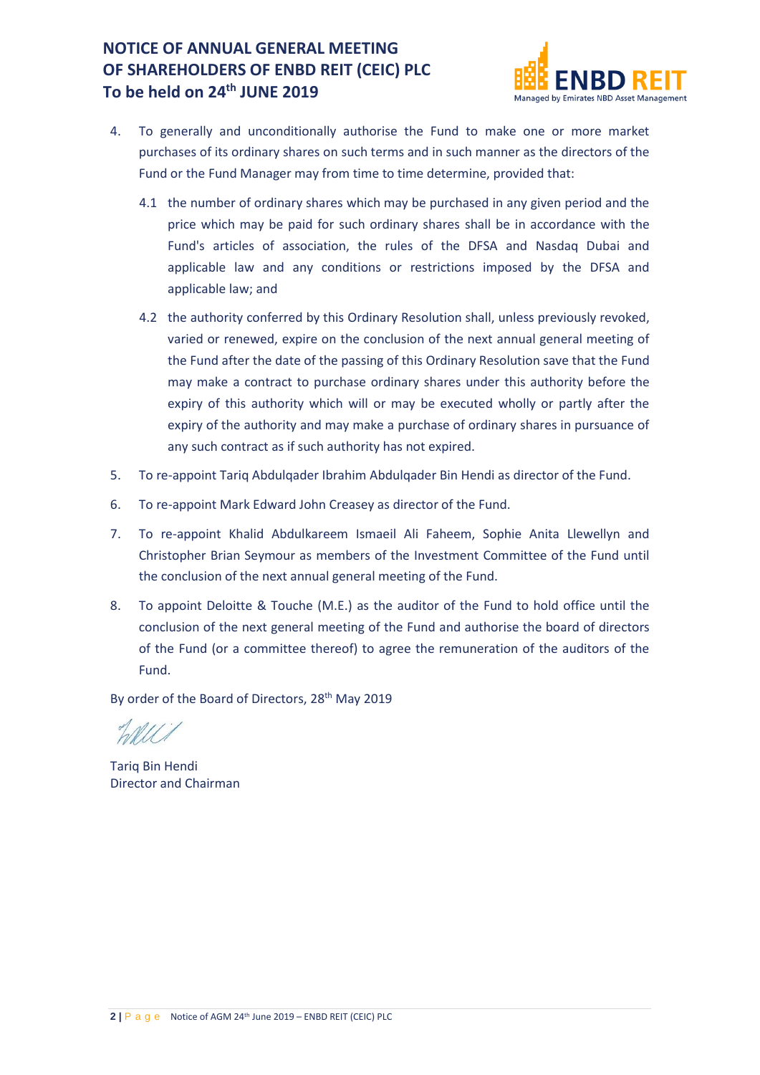

- 4. To generally and unconditionally authorise the Fund to make one or more market purchases of its ordinary shares on such terms and in such manner as the directors of the Fund or the Fund Manager may from time to time determine, provided that:
	- 4.1 the number of ordinary shares which may be purchased in any given period and the price which may be paid for such ordinary shares shall be in accordance with the Fund's articles of association, the rules of the DFSA and Nasdaq Dubai and applicable law and any conditions or restrictions imposed by the DFSA and applicable law; and
	- 4.2 the authority conferred by this Ordinary Resolution shall, unless previously revoked, varied or renewed, expire on the conclusion of the next annual general meeting of the Fund after the date of the passing of this Ordinary Resolution save that the Fund may make a contract to purchase ordinary shares under this authority before the expiry of this authority which will or may be executed wholly or partly after the expiry of the authority and may make a purchase of ordinary shares in pursuance of any such contract as if such authority has not expired.
- 5. To re-appoint Tariq Abdulqader Ibrahim Abdulqader Bin Hendi as director of the Fund.
- 6. To re-appoint Mark Edward John Creasey as director of the Fund.
- 7. To re-appoint Khalid Abdulkareem Ismaeil Ali Faheem, Sophie Anita Llewellyn and Christopher Brian Seymour as members of the Investment Committee of the Fund until the conclusion of the next annual general meeting of the Fund.
- 8. To appoint Deloitte & Touche (M.E.) as the auditor of the Fund to hold office until the conclusion of the next general meeting of the Fund and authorise the board of directors of the Fund (or a committee thereof) to agree the remuneration of the auditors of the Fund.

By order of the Board of Directors, 28<sup>th</sup> May 2019

Tariq Bin Hendi Director and Chairman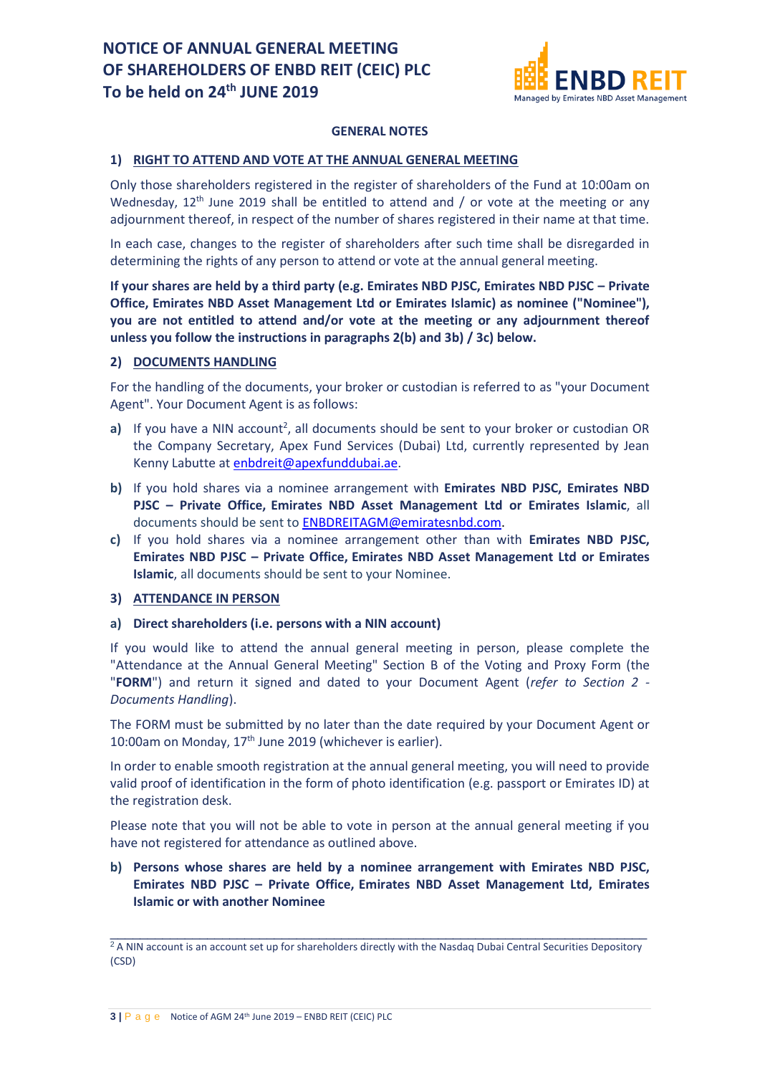

#### **GENERAL NOTES**

#### **1) RIGHT TO ATTEND AND VOTE AT THE ANNUAL GENERAL MEETING**

Only those shareholders registered in the register of shareholders of the Fund at 10:00am on Wednesday,  $12<sup>th</sup>$  June 2019 shall be entitled to attend and / or vote at the meeting or any adjournment thereof, in respect of the number of shares registered in their name at that time.

In each case, changes to the register of shareholders after such time shall be disregarded in determining the rights of any person to attend or vote at the annual general meeting.

**If your shares are held by a third party (e.g. Emirates NBD PJSC, Emirates NBD PJSC – Private Office, Emirates NBD Asset Management Ltd or Emirates Islamic) as nominee ("Nominee"), you are not entitled to attend and/or vote at the meeting or any adjournment thereof unless you follow the instructions in paragraphs 2(b) and 3b) / 3c) below.**

#### **2) DOCUMENTS HANDLING**

For the handling of the documents, your broker or custodian is referred to as "your Document Agent". Your Document Agent is as follows:

- a) If you have a NIN account<sup>2</sup>, all documents should be sent to your broker or custodian OR the Company Secretary, Apex Fund Services (Dubai) Ltd, currently represented by Jean Kenny Labutte at [enbdreit@apexfunddubai.ae.](mailto:enbdreit@apexfunddubai.ae)
- **b)** If you hold shares via a nominee arrangement with **Emirates NBD PJSC, Emirates NBD PJSC – Private Office, Emirates NBD Asset Management Ltd or Emirates Islamic**, all documents should be sent to [ENBDREITAGM@emiratesnbd.com.](mailto:ENBDREITAGM@emiratesnbd.com)
- **c)** If you hold shares via a nominee arrangement other than with **Emirates NBD PJSC, Emirates NBD PJSC – Private Office, Emirates NBD Asset Management Ltd or Emirates Islamic**, all documents should be sent to your Nominee.

### **3) ATTENDANCE IN PERSON**

**a) Direct shareholders (i.e. persons with a NIN account)**

If you would like to attend the annual general meeting in person, please complete the "Attendance at the Annual General Meeting" Section B of the Voting and Proxy Form (the "**FORM**") and return it signed and dated to your Document Agent (*refer to Section 2 - Documents Handling*).

The FORM must be submitted by no later than the date required by your Document Agent or 10:00am on Monday, 17<sup>th</sup> June 2019 (whichever is earlier).

In order to enable smooth registration at the annual general meeting, you will need to provide valid proof of identification in the form of photo identification (e.g. passport or Emirates ID) at the registration desk.

Please note that you will not be able to vote in person at the annual general meeting if you have not registered for attendance as outlined above.

### **b) Persons whose shares are held by a nominee arrangement with Emirates NBD PJSC, Emirates NBD PJSC – Private Office, Emirates NBD Asset Management Ltd, Emirates Islamic or with another Nominee**

 $\_$  , and the set of the set of the set of the set of the set of the set of the set of the set of the set of the set of the set of the set of the set of the set of the set of the set of the set of the set of the set of th <sup>2</sup> A NIN account is an account set up for shareholders directly with the Nasdaq Dubai Central Securities Depository (CSD)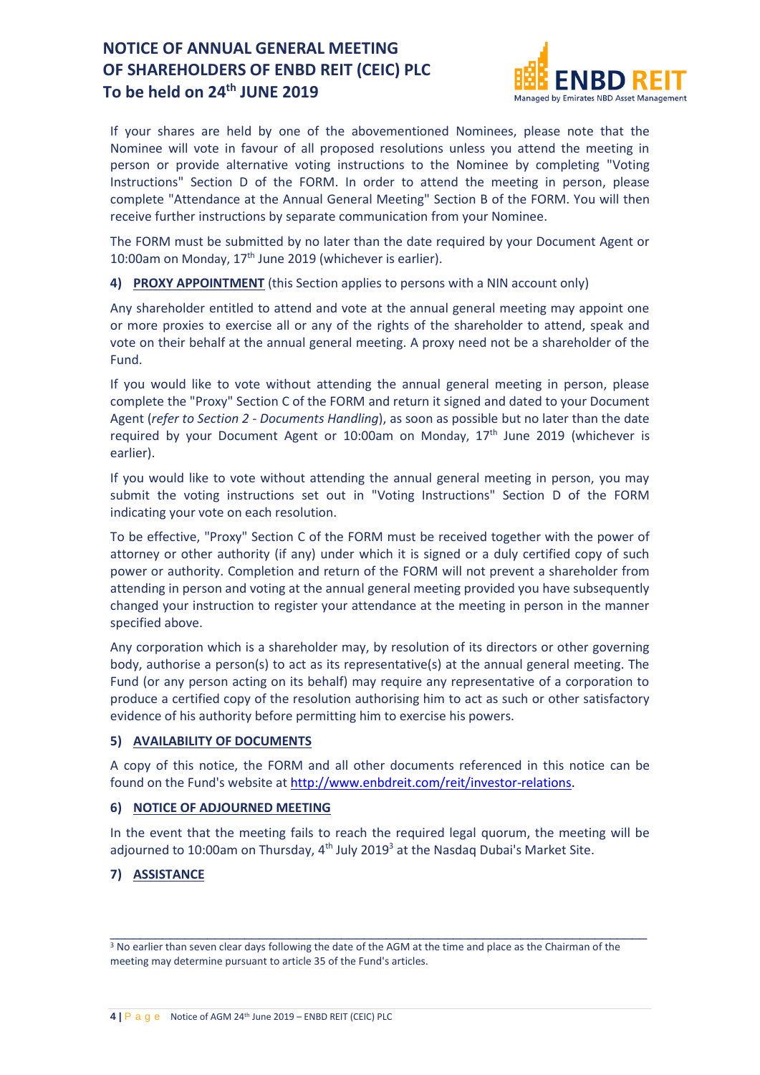

If your shares are held by one of the abovementioned Nominees, please note that the Nominee will vote in favour of all proposed resolutions unless you attend the meeting in person or provide alternative voting instructions to the Nominee by completing "Voting Instructions" Section D of the FORM. In order to attend the meeting in person, please complete "Attendance at the Annual General Meeting" Section B of the FORM. You will then receive further instructions by separate communication from your Nominee.

The FORM must be submitted by no later than the date required by your Document Agent or 10:00am on Monday,  $17<sup>th</sup>$  June 2019 (whichever is earlier).

**4) PROXY APPOINTMENT** (this Section applies to persons with a NIN account only)

Any shareholder entitled to attend and vote at the annual general meeting may appoint one or more proxies to exercise all or any of the rights of the shareholder to attend, speak and vote on their behalf at the annual general meeting. A proxy need not be a shareholder of the Fund.

If you would like to vote without attending the annual general meeting in person, please complete the "Proxy" Section C of the FORM and return it signed and dated to your Document Agent (*refer to Section 2 - Documents Handling*), as soon as possible but no later than the date required by your Document Agent or 10:00am on Monday,  $17<sup>th</sup>$  June 2019 (whichever is earlier).

If you would like to vote without attending the annual general meeting in person, you may submit the voting instructions set out in "Voting Instructions" Section D of the FORM indicating your vote on each resolution.

To be effective, "Proxy" Section C of the FORM must be received together with the power of attorney or other authority (if any) under which it is signed or a duly certified copy of such power or authority. Completion and return of the FORM will not prevent a shareholder from attending in person and voting at the annual general meeting provided you have subsequently changed your instruction to register your attendance at the meeting in person in the manner specified above.

Any corporation which is a shareholder may, by resolution of its directors or other governing body, authorise a person(s) to act as its representative(s) at the annual general meeting. The Fund (or any person acting on its behalf) may require any representative of a corporation to produce a certified copy of the resolution authorising him to act as such or other satisfactory evidence of his authority before permitting him to exercise his powers.

#### **5) AVAILABILITY OF DOCUMENTS**

A copy of this notice, the FORM and all other documents referenced in this notice can be found on the Fund's website a[t http://www.enbdreit.com/reit/investor-relations.](http://www.enbdreit.com/reit/investor-relations)

#### **6) NOTICE OF ADJOURNED MEETING**

In the event that the meeting fails to reach the required legal quorum, the meeting will be adjourned to 10:00am on Thursday, 4<sup>th</sup> July 2019<sup>3</sup> at the Nasdaq Dubai's Market Site.

### **7) ASSISTANCE**

 $\_$  , and the set of the set of the set of the set of the set of the set of the set of the set of the set of the set of the set of the set of the set of the set of the set of the set of the set of the set of the set of th

<sup>3</sup> No earlier than seven clear days following the date of the AGM at the time and place as the Chairman of the meeting may determine pursuant to article 35 of the Fund's articles.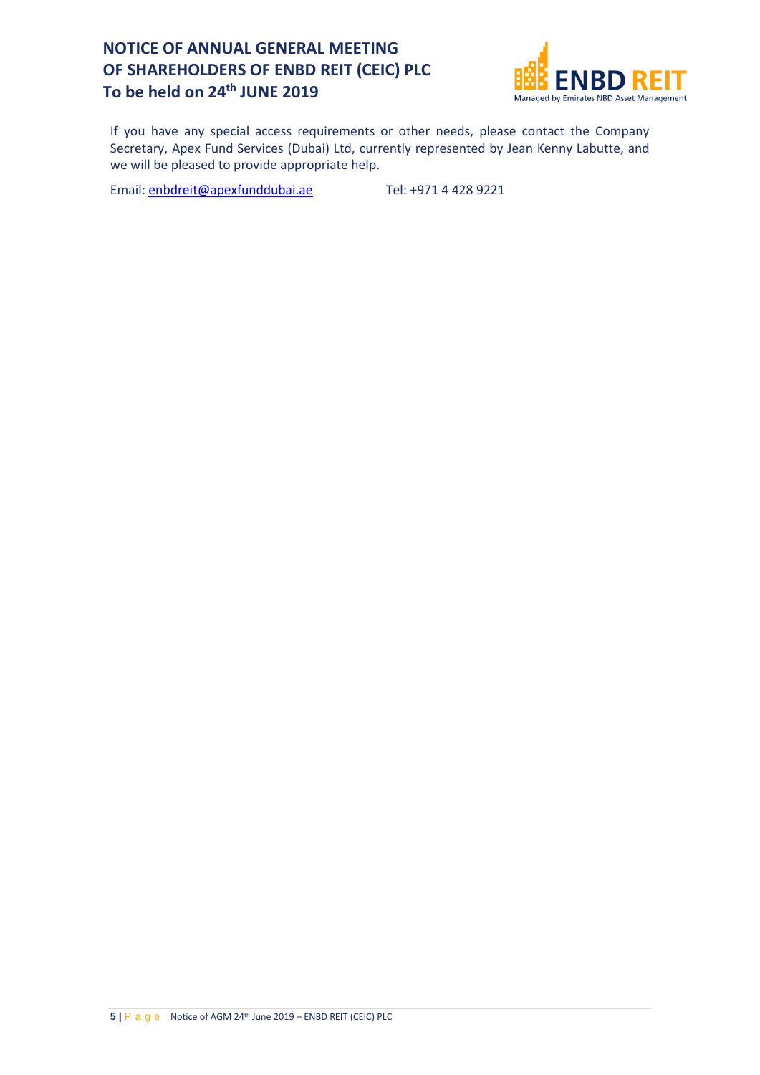

If you have any special access requirements or other needs, please contact the Company Secretary, Apex Fund Services (Dubai) Ltd, currently represented by Jean Kenny Labutte, and we will be pleased to provide appropriate help.

Email: [enbdreit@apexfunddubai.ae](mailto:enbdreit@apexfunddubai.ae) Tel: +971 4 428 9221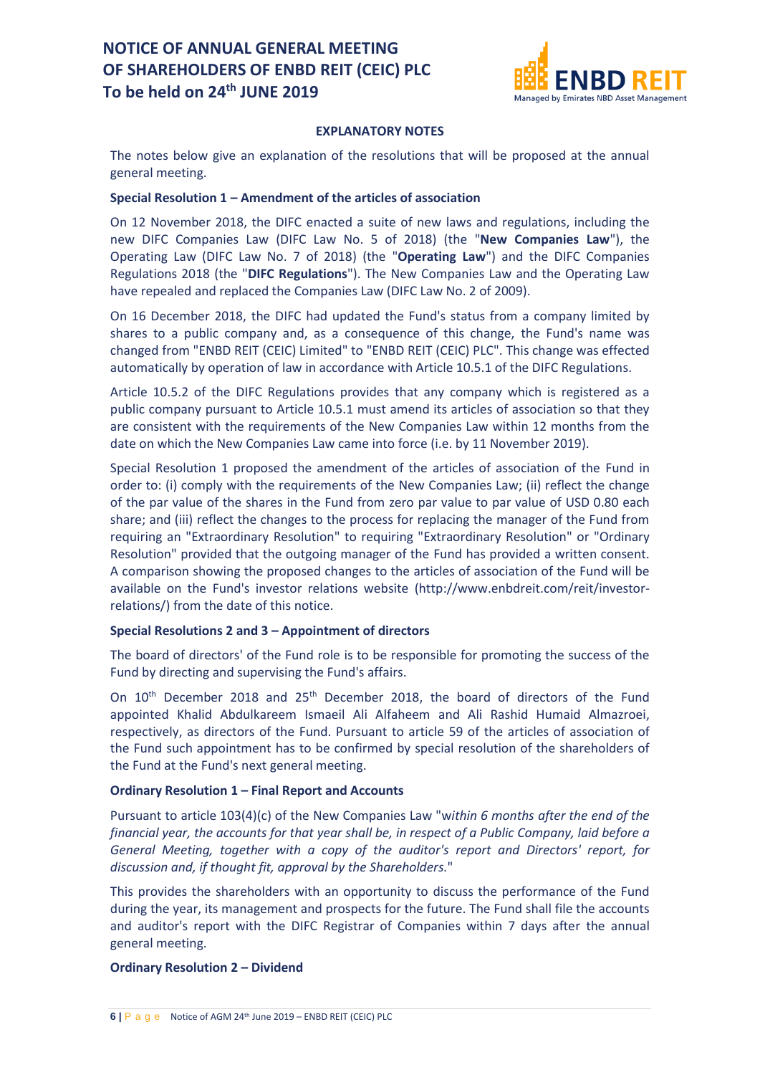

#### **EXPLANATORY NOTES**

The notes below give an explanation of the resolutions that will be proposed at the annual general meeting.

#### **Special Resolution 1 – Amendment of the articles of association**

On 12 November 2018, the DIFC enacted a suite of new laws and regulations, including the new DIFC Companies Law (DIFC Law No. 5 of 2018) (the "**New Companies Law**"), the Operating Law (DIFC Law No. 7 of 2018) (the "**Operating Law**") and the DIFC Companies Regulations 2018 (the "**DIFC Regulations**"). The New Companies Law and the Operating Law have repealed and replaced the Companies Law (DIFC Law No. 2 of 2009).

On 16 December 2018, the DIFC had updated the Fund's status from a company limited by shares to a public company and, as a consequence of this change, the Fund's name was changed from "ENBD REIT (CEIC) Limited" to "ENBD REIT (CEIC) PLC". This change was effected automatically by operation of law in accordance with Article 10.5.1 of the DIFC Regulations.

Article 10.5.2 of the DIFC Regulations provides that any company which is registered as a public company pursuant to Article 10.5.1 must amend its articles of association so that they are consistent with the requirements of the New Companies Law within 12 months from the date on which the New Companies Law came into force (i.e. by 11 November 2019).

Special Resolution 1 proposed the amendment of the articles of association of the Fund in order to: (i) comply with the requirements of the New Companies Law; (ii) reflect the change of the par value of the shares in the Fund from zero par value to par value of USD 0.80 each share; and (iii) reflect the changes to the process for replacing the manager of the Fund from requiring an "Extraordinary Resolution" to requiring "Extraordinary Resolution" or "Ordinary Resolution" provided that the outgoing manager of the Fund has provided a written consent. A comparison showing the proposed changes to the articles of association of the Fund will be available on the Fund's investor relations website (http://www.enbdreit.com/reit/investorrelations/) from the date of this notice.

#### **Special Resolutions 2 and 3 – Appointment of directors**

The board of directors' of the Fund role is to be responsible for promoting the success of the Fund by directing and supervising the Fund's affairs.

On 10<sup>th</sup> December 2018 and 25<sup>th</sup> December 2018, the board of directors of the Fund appointed Khalid Abdulkareem Ismaeil Ali Alfaheem and Ali Rashid Humaid Almazroei, respectively, as directors of the Fund. Pursuant to article 59 of the articles of association of the Fund such appointment has to be confirmed by special resolution of the shareholders of the Fund at the Fund's next general meeting.

#### **Ordinary Resolution 1 – Final Report and Accounts**

Pursuant to article 103(4)(c) of the New Companies Law "w*ithin 6 months after the end of the financial year, the accounts for that year shall be, in respect of a Public Company, laid before a General Meeting, together with a copy of the auditor's report and Directors' report, for discussion and, if thought fit, approval by the Shareholders.*"

This provides the shareholders with an opportunity to discuss the performance of the Fund during the year, its management and prospects for the future. The Fund shall file the accounts and auditor's report with the DIFC Registrar of Companies within 7 days after the annual general meeting.

#### **Ordinary Resolution 2 – Dividend**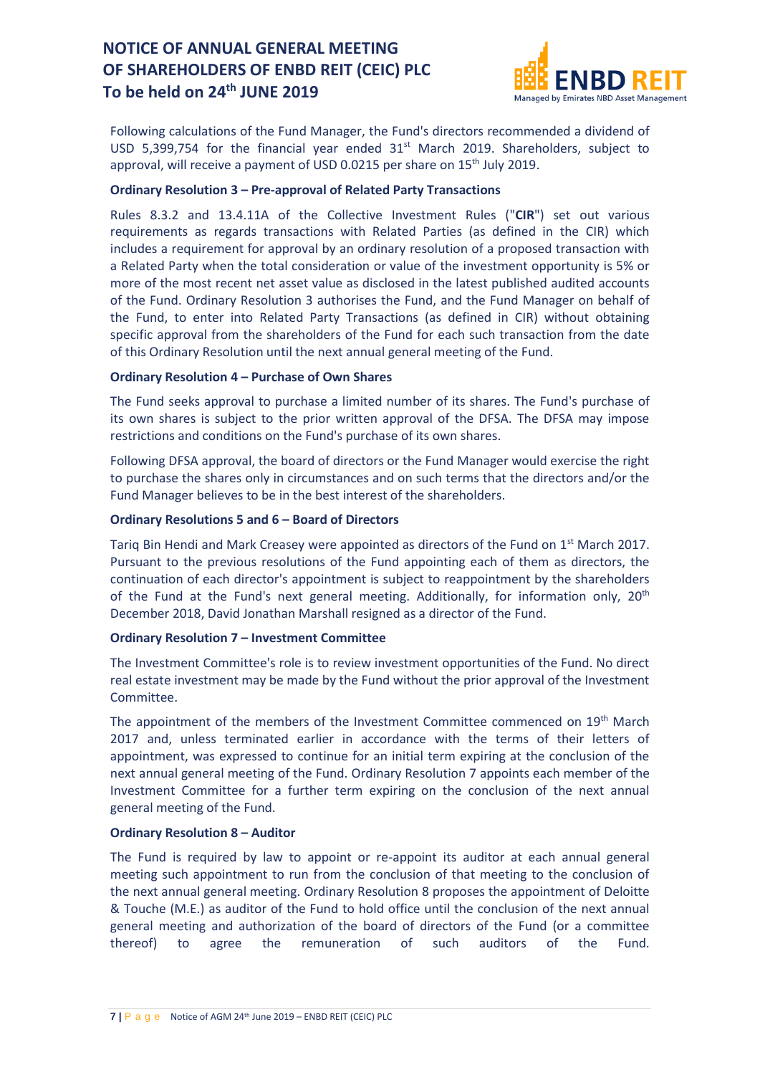

Following calculations of the Fund Manager, the Fund's directors recommended a dividend of USD 5,399,754 for the financial year ended  $31<sup>st</sup>$  March 2019. Shareholders, subject to approval, will receive a payment of USD 0.0215 per share on 15<sup>th</sup> July 2019.

#### **Ordinary Resolution 3 – Pre-approval of Related Party Transactions**

Rules 8.3.2 and 13.4.11A of the Collective Investment Rules ("**CIR**") set out various requirements as regards transactions with Related Parties (as defined in the CIR) which includes a requirement for approval by an ordinary resolution of a proposed transaction with a Related Party when the total consideration or value of the investment opportunity is 5% or more of the most recent net asset value as disclosed in the latest published audited accounts of the Fund. Ordinary Resolution 3 authorises the Fund, and the Fund Manager on behalf of the Fund, to enter into Related Party Transactions (as defined in CIR) without obtaining specific approval from the shareholders of the Fund for each such transaction from the date of this Ordinary Resolution until the next annual general meeting of the Fund.

#### **Ordinary Resolution 4 – Purchase of Own Shares**

The Fund seeks approval to purchase a limited number of its shares. The Fund's purchase of its own shares is subject to the prior written approval of the DFSA. The DFSA may impose restrictions and conditions on the Fund's purchase of its own shares.

Following DFSA approval, the board of directors or the Fund Manager would exercise the right to purchase the shares only in circumstances and on such terms that the directors and/or the Fund Manager believes to be in the best interest of the shareholders.

#### **Ordinary Resolutions 5 and 6 – Board of Directors**

Tariq Bin Hendi and Mark Creasey were appointed as directors of the Fund on  $1<sup>st</sup>$  March 2017. Pursuant to the previous resolutions of the Fund appointing each of them as directors, the continuation of each director's appointment is subject to reappointment by the shareholders of the Fund at the Fund's next general meeting. Additionally, for information only, 20<sup>th</sup> December 2018, David Jonathan Marshall resigned as a director of the Fund.

#### **Ordinary Resolution 7 – Investment Committee**

The Investment Committee's role is to review investment opportunities of the Fund. No direct real estate investment may be made by the Fund without the prior approval of the Investment Committee.

The appointment of the members of the Investment Committee commenced on 19<sup>th</sup> March 2017 and, unless terminated earlier in accordance with the terms of their letters of appointment, was expressed to continue for an initial term expiring at the conclusion of the next annual general meeting of the Fund. Ordinary Resolution 7 appoints each member of the Investment Committee for a further term expiring on the conclusion of the next annual general meeting of the Fund.

#### **Ordinary Resolution 8 – Auditor**

The Fund is required by law to appoint or re-appoint its auditor at each annual general meeting such appointment to run from the conclusion of that meeting to the conclusion of the next annual general meeting. Ordinary Resolution 8 proposes the appointment of Deloitte & Touche (M.E.) as auditor of the Fund to hold office until the conclusion of the next annual general meeting and authorization of the board of directors of the Fund (or a committee thereof) to agree the remuneration of such auditors of the Fund.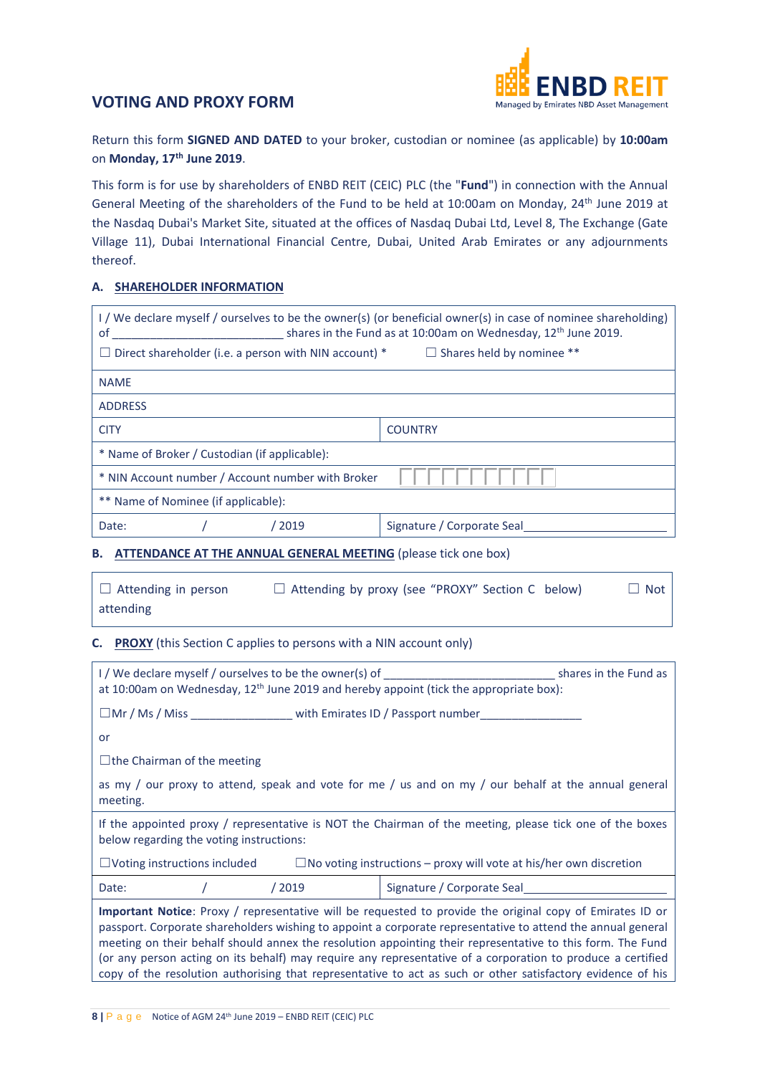

Return this form **SIGNED AND DATED** to your broker, custodian or nominee (as applicable) by **10:00am** on **Monday, 17th June 2019**.

This form is for use by shareholders of ENBD REIT (CEIC) PLC (the "**Fund**") in connection with the Annual General Meeting of the shareholders of the Fund to be held at 10:00am on Monday, 24th June 2019 at the Nasdaq Dubai's Market Site, situated at the offices of Nasdaq Dubai Ltd, Level 8, The Exchange (Gate Village 11), Dubai International Financial Centre, Dubai, United Arab Emirates or any adjournments thereof.

### **A. SHAREHOLDER INFORMATION**

| I / We declare myself / ourselves to be the owner(s) (or beneficial owner(s) in case of nominee shareholding)<br>shares in the Fund as at 10:00am on Wednesday, 12 <sup>th</sup> June 2019.<br>0f |                            |  |  |  |
|---------------------------------------------------------------------------------------------------------------------------------------------------------------------------------------------------|----------------------------|--|--|--|
| $\Box$ Direct shareholder (i.e. a person with NIN account) $^*$<br>$\Box$ Shares held by nominee **                                                                                               |                            |  |  |  |
| <b>NAME</b>                                                                                                                                                                                       |                            |  |  |  |
| <b>ADDRESS</b>                                                                                                                                                                                    |                            |  |  |  |
| <b>CITY</b>                                                                                                                                                                                       | <b>COUNTRY</b>             |  |  |  |
| * Name of Broker / Custodian (if applicable):                                                                                                                                                     |                            |  |  |  |
| * NIN Account number / Account number with Broker                                                                                                                                                 |                            |  |  |  |
| ** Name of Nominee (if applicable):                                                                                                                                                               |                            |  |  |  |
| Date:<br>2019 /                                                                                                                                                                                   | Signature / Corporate Seal |  |  |  |

#### **B. ATTENDANCE AT THE ANNUAL GENERAL MEETING** (please tick one box)

| $\Box$ Attending in person | $\Box$ Attending by proxy (see "PROXY" Section C below) | $\Box$ Not |
|----------------------------|---------------------------------------------------------|------------|
| attending                  |                                                         |            |

#### **C. PROXY** (this Section C applies to persons with a NIN account only)

| I / We declare myself / ourselves to be the owner(s) of substitution of the shares in the Fund as<br>at 10:00am on Wednesday, $12th$ June 2019 and hereby appoint (tick the appropriate box):                                                                                                                                                                                                                                                                                                                                                                        |                            |  |  |  |  |
|----------------------------------------------------------------------------------------------------------------------------------------------------------------------------------------------------------------------------------------------------------------------------------------------------------------------------------------------------------------------------------------------------------------------------------------------------------------------------------------------------------------------------------------------------------------------|----------------------------|--|--|--|--|
| $\square$ Mr / Ms / Miss $\qquad \qquad$ with Emirates ID / Passport number                                                                                                                                                                                                                                                                                                                                                                                                                                                                                          |                            |  |  |  |  |
| or                                                                                                                                                                                                                                                                                                                                                                                                                                                                                                                                                                   |                            |  |  |  |  |
| $\Box$ the Chairman of the meeting                                                                                                                                                                                                                                                                                                                                                                                                                                                                                                                                   |                            |  |  |  |  |
| as my / our proxy to attend, speak and vote for me / us and on my / our behalf at the annual general<br>meeting.                                                                                                                                                                                                                                                                                                                                                                                                                                                     |                            |  |  |  |  |
| If the appointed proxy / representative is NOT the Chairman of the meeting, please tick one of the boxes<br>below regarding the voting instructions:                                                                                                                                                                                                                                                                                                                                                                                                                 |                            |  |  |  |  |
| $\Box$ Voting instructions included $\Box$ No voting instructions – proxy will vote at his/her own discretion                                                                                                                                                                                                                                                                                                                                                                                                                                                        |                            |  |  |  |  |
| /2019<br>Date:                                                                                                                                                                                                                                                                                                                                                                                                                                                                                                                                                       | Signature / Corporate Seal |  |  |  |  |
| Important Notice: Proxy / representative will be requested to provide the original copy of Emirates ID or<br>passport. Corporate shareholders wishing to appoint a corporate representative to attend the annual general<br>meeting on their behalf should annex the resolution appointing their representative to this form. The Fund<br>(or any person acting on its behalf) may require any representative of a corporation to produce a certified<br>copy of the resolution authorising that representative to act as such or other satisfactory evidence of his |                            |  |  |  |  |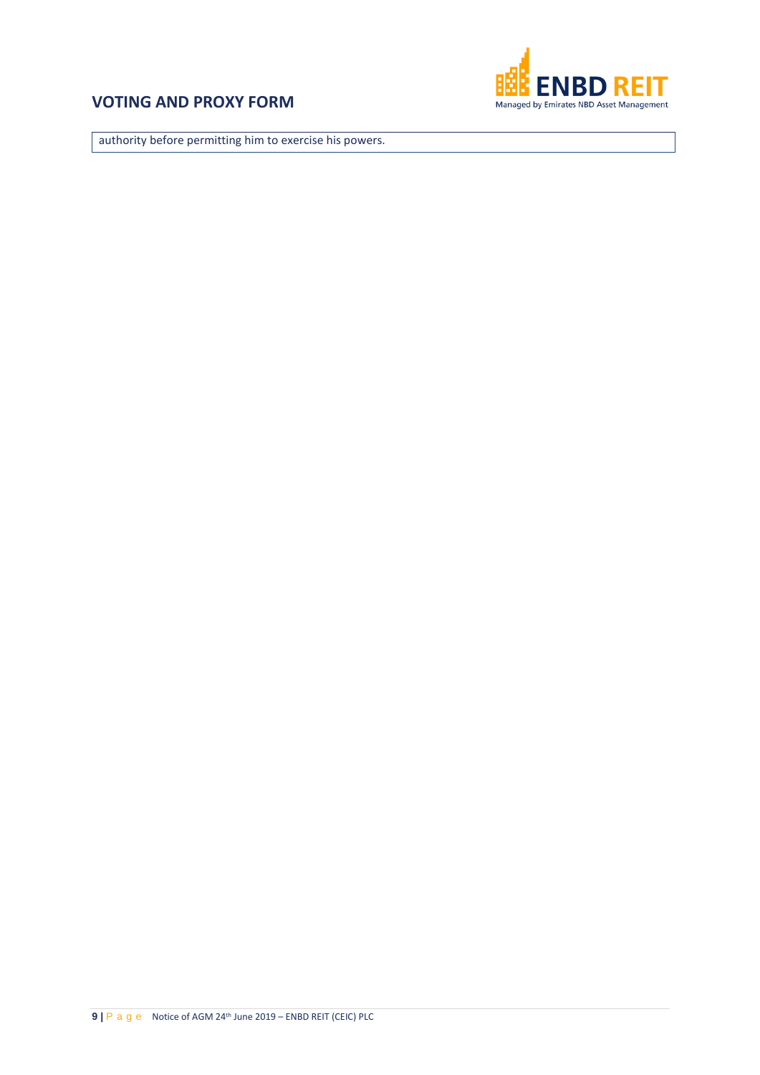

authority before permitting him to exercise his powers.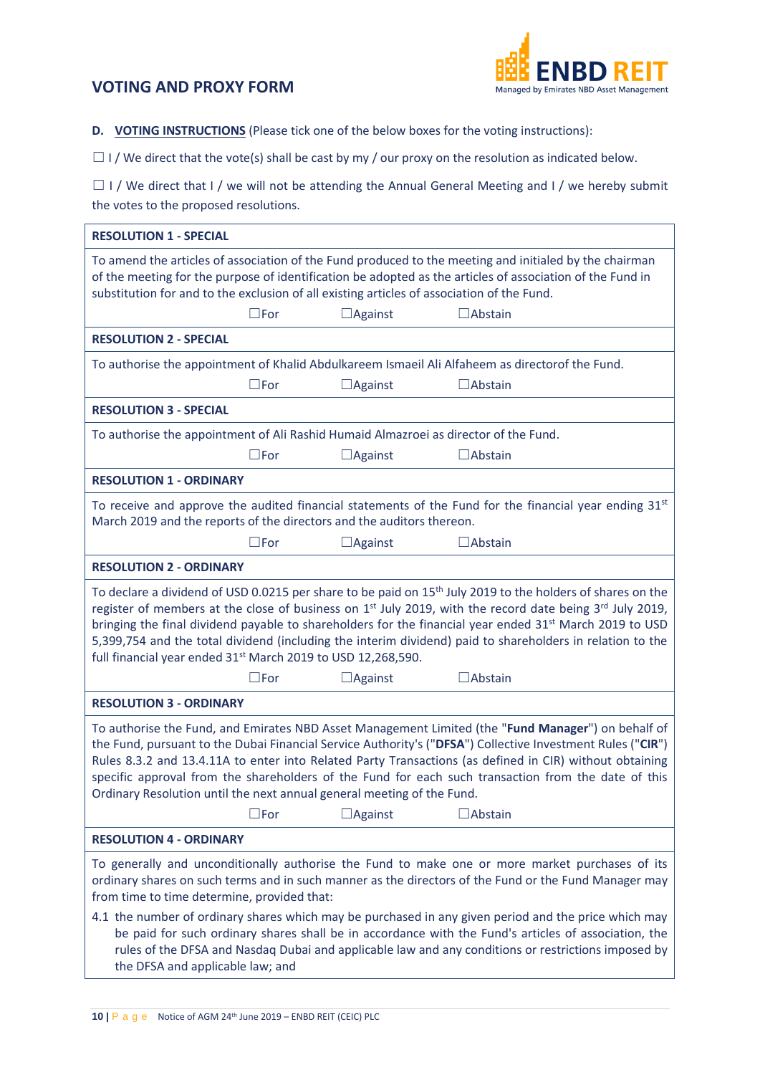

**D. VOTING INSTRUCTIONS** (Please tick one of the below boxes for the voting instructions):

 $\Box$  I / We direct that the vote(s) shall be cast by my / our proxy on the resolution as indicated below.

□ I / We direct that I / we will not be attending the Annual General Meeting and I / we hereby submit the votes to the proposed resolutions.

| <b>RESOLUTION 1 - SPECIAL</b>                                                                                                                                                                                                                                                                                                                                                                                                                                                                                                                                                                                      |               |                |                                                                                                                                                                                                                     |  |  |
|--------------------------------------------------------------------------------------------------------------------------------------------------------------------------------------------------------------------------------------------------------------------------------------------------------------------------------------------------------------------------------------------------------------------------------------------------------------------------------------------------------------------------------------------------------------------------------------------------------------------|---------------|----------------|---------------------------------------------------------------------------------------------------------------------------------------------------------------------------------------------------------------------|--|--|
| substitution for and to the exclusion of all existing articles of association of the Fund.                                                                                                                                                                                                                                                                                                                                                                                                                                                                                                                         |               |                | To amend the articles of association of the Fund produced to the meeting and initialed by the chairman<br>of the meeting for the purpose of identification be adopted as the articles of association of the Fund in |  |  |
|                                                                                                                                                                                                                                                                                                                                                                                                                                                                                                                                                                                                                    | $\square$ For | $\Box$ Against | $\Box$ Abstain                                                                                                                                                                                                      |  |  |
| <b>RESOLUTION 2 - SPECIAL</b>                                                                                                                                                                                                                                                                                                                                                                                                                                                                                                                                                                                      |               |                |                                                                                                                                                                                                                     |  |  |
|                                                                                                                                                                                                                                                                                                                                                                                                                                                                                                                                                                                                                    |               |                | To authorise the appointment of Khalid Abdulkareem Ismaeil Ali Alfaheem as directorof the Fund.                                                                                                                     |  |  |
|                                                                                                                                                                                                                                                                                                                                                                                                                                                                                                                                                                                                                    | $\square$ For | $\Box$ Against | $\Box$ Abstain                                                                                                                                                                                                      |  |  |
| <b>RESOLUTION 3 - SPECIAL</b>                                                                                                                                                                                                                                                                                                                                                                                                                                                                                                                                                                                      |               |                |                                                                                                                                                                                                                     |  |  |
| To authorise the appointment of Ali Rashid Humaid Almazroei as director of the Fund.                                                                                                                                                                                                                                                                                                                                                                                                                                                                                                                               |               |                |                                                                                                                                                                                                                     |  |  |
|                                                                                                                                                                                                                                                                                                                                                                                                                                                                                                                                                                                                                    | $\square$ For | $\Box$ Against | $\Box$ Abstain                                                                                                                                                                                                      |  |  |
| <b>RESOLUTION 1 - ORDINARY</b>                                                                                                                                                                                                                                                                                                                                                                                                                                                                                                                                                                                     |               |                |                                                                                                                                                                                                                     |  |  |
| March 2019 and the reports of the directors and the auditors thereon.                                                                                                                                                                                                                                                                                                                                                                                                                                                                                                                                              |               |                | To receive and approve the audited financial statements of the Fund for the financial year ending $31st$                                                                                                            |  |  |
|                                                                                                                                                                                                                                                                                                                                                                                                                                                                                                                                                                                                                    | $\square$ For | $\Box$ Against | $\Box$ Abstain                                                                                                                                                                                                      |  |  |
| <b>RESOLUTION 2 - ORDINARY</b>                                                                                                                                                                                                                                                                                                                                                                                                                                                                                                                                                                                     |               |                |                                                                                                                                                                                                                     |  |  |
| To declare a dividend of USD 0.0215 per share to be paid on 15 <sup>th</sup> July 2019 to the holders of shares on the<br>register of members at the close of business on 1 <sup>st</sup> July 2019, with the record date being 3 <sup>rd</sup> July 2019,<br>bringing the final dividend payable to shareholders for the financial year ended 31 <sup>st</sup> March 2019 to USD<br>5,399,754 and the total dividend (including the interim dividend) paid to shareholders in relation to the<br>full financial year ended 31 <sup>st</sup> March 2019 to USD 12,268,590.                                         |               |                |                                                                                                                                                                                                                     |  |  |
|                                                                                                                                                                                                                                                                                                                                                                                                                                                                                                                                                                                                                    | $\square$ For | $\Box$ Against | $\Box$ Abstain                                                                                                                                                                                                      |  |  |
| <b>RESOLUTION 3 - ORDINARY</b>                                                                                                                                                                                                                                                                                                                                                                                                                                                                                                                                                                                     |               |                |                                                                                                                                                                                                                     |  |  |
| To authorise the Fund, and Emirates NBD Asset Management Limited (the "Fund Manager") on behalf of<br>the Fund, pursuant to the Dubai Financial Service Authority's ("DFSA") Collective Investment Rules ("CIR")<br>Rules 8.3.2 and 13.4.11A to enter into Related Party Transactions (as defined in CIR) without obtaining<br>specific approval from the shareholders of the Fund for each such transaction from the date of this<br>Ordinary Resolution until the next annual general meeting of the Fund.<br>$\square$ For<br>$\Box$ Against<br>$\Box$ Abstain                                                  |               |                |                                                                                                                                                                                                                     |  |  |
| <b>RESOLUTION 4 - ORDINARY</b>                                                                                                                                                                                                                                                                                                                                                                                                                                                                                                                                                                                     |               |                |                                                                                                                                                                                                                     |  |  |
| To generally and unconditionally authorise the Fund to make one or more market purchases of its<br>ordinary shares on such terms and in such manner as the directors of the Fund or the Fund Manager may<br>from time to time determine, provided that:<br>4.1 the number of ordinary shares which may be purchased in any given period and the price which may<br>be paid for such ordinary shares shall be in accordance with the Fund's articles of association, the<br>rules of the DFSA and Nasdaq Dubai and applicable law and any conditions or restrictions imposed by<br>the DFSA and applicable law; and |               |                |                                                                                                                                                                                                                     |  |  |
|                                                                                                                                                                                                                                                                                                                                                                                                                                                                                                                                                                                                                    |               |                |                                                                                                                                                                                                                     |  |  |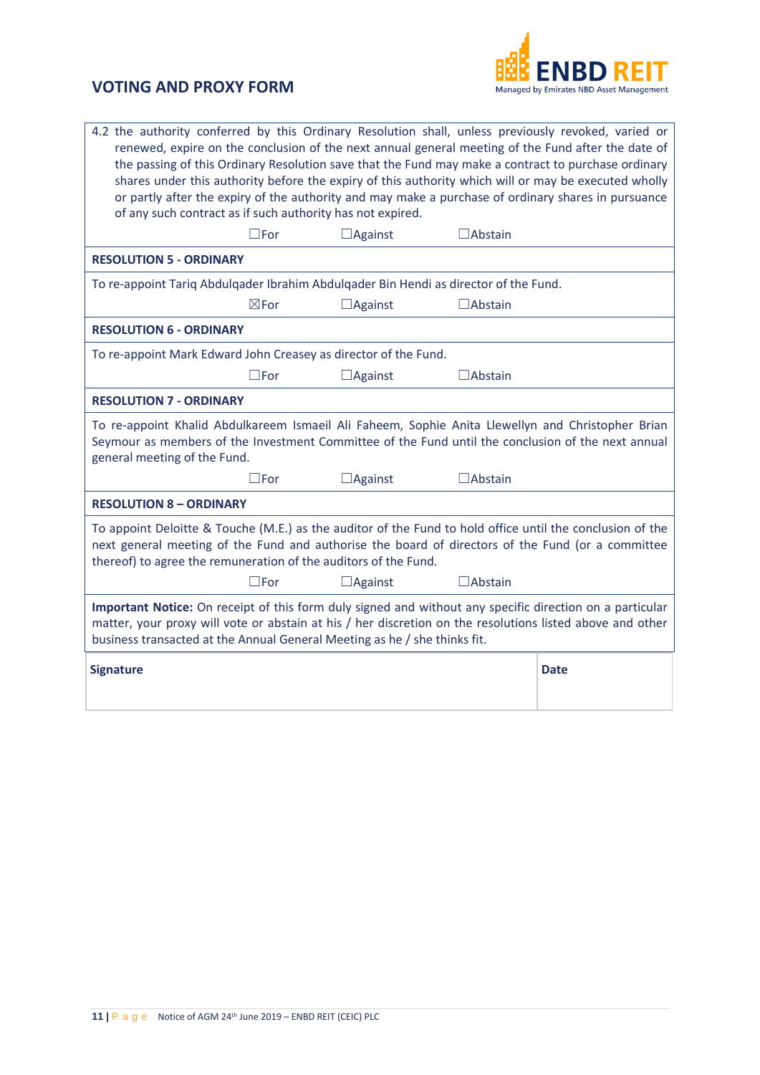

| 4.2 the authority conferred by this Ordinary Resolution shall, unless previously revoked, varied or<br>renewed, expire on the conclusion of the next annual general meeting of the Fund after the date of<br>the passing of this Ordinary Resolution save that the Fund may make a contract to purchase ordinary<br>shares under this authority before the expiry of this authority which will or may be executed wholly<br>or partly after the expiry of the authority and may make a purchase of ordinary shares in pursuance<br>of any such contract as if such authority has not expired. |                 |                |                   |  |  |
|-----------------------------------------------------------------------------------------------------------------------------------------------------------------------------------------------------------------------------------------------------------------------------------------------------------------------------------------------------------------------------------------------------------------------------------------------------------------------------------------------------------------------------------------------------------------------------------------------|-----------------|----------------|-------------------|--|--|
|                                                                                                                                                                                                                                                                                                                                                                                                                                                                                                                                                                                               | $\square$ For   | $\Box$ Against | $\Box$ Abstain    |  |  |
| <b>RESOLUTION 5 - ORDINARY</b>                                                                                                                                                                                                                                                                                                                                                                                                                                                                                                                                                                |                 |                |                   |  |  |
| To re-appoint Tariq Abdulqader Ibrahim Abdulqader Bin Hendi as director of the Fund.                                                                                                                                                                                                                                                                                                                                                                                                                                                                                                          |                 |                |                   |  |  |
|                                                                                                                                                                                                                                                                                                                                                                                                                                                                                                                                                                                               | $\boxtimes$ For | $\Box$ Against | $\Box$ Abstain    |  |  |
| <b>RESOLUTION 6 - ORDINARY</b>                                                                                                                                                                                                                                                                                                                                                                                                                                                                                                                                                                |                 |                |                   |  |  |
| To re-appoint Mark Edward John Creasey as director of the Fund.                                                                                                                                                                                                                                                                                                                                                                                                                                                                                                                               |                 |                |                   |  |  |
|                                                                                                                                                                                                                                                                                                                                                                                                                                                                                                                                                                                               | $\square$ For   | $\Box$ Against | $\exists$ Abstain |  |  |
| <b>RESOLUTION 7 - ORDINARY</b>                                                                                                                                                                                                                                                                                                                                                                                                                                                                                                                                                                |                 |                |                   |  |  |
| To re-appoint Khalid Abdulkareem Ismaeil Ali Faheem, Sophie Anita Llewellyn and Christopher Brian<br>Seymour as members of the Investment Committee of the Fund until the conclusion of the next annual<br>general meeting of the Fund.                                                                                                                                                                                                                                                                                                                                                       |                 |                |                   |  |  |
|                                                                                                                                                                                                                                                                                                                                                                                                                                                                                                                                                                                               | $\Box$ For      | $\Box$ Against | <b>JAbstain</b>   |  |  |
| <b>RESOLUTION 8 - ORDINARY</b>                                                                                                                                                                                                                                                                                                                                                                                                                                                                                                                                                                |                 |                |                   |  |  |
| To appoint Deloitte & Touche (M.E.) as the auditor of the Fund to hold office until the conclusion of the<br>next general meeting of the Fund and authorise the board of directors of the Fund (or a committee<br>thereof) to agree the remuneration of the auditors of the Fund.                                                                                                                                                                                                                                                                                                             |                 |                |                   |  |  |
|                                                                                                                                                                                                                                                                                                                                                                                                                                                                                                                                                                                               | $\square$ For   | $\Box$ Against | $\Box$ Abstain    |  |  |
| Important Notice: On receipt of this form duly signed and without any specific direction on a particular<br>matter, your proxy will vote or abstain at his / her discretion on the resolutions listed above and other<br>business transacted at the Annual General Meeting as he / she thinks fit.                                                                                                                                                                                                                                                                                            |                 |                |                   |  |  |
| <b>Signature</b>                                                                                                                                                                                                                                                                                                                                                                                                                                                                                                                                                                              |                 |                |                   |  |  |